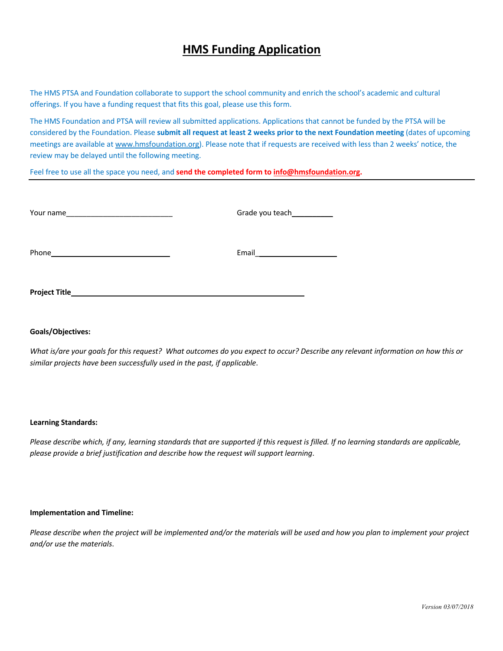# **HMS Funding Application**

The HMS PTSA and Foundation collaborate to support the school community and enrich the school's academic and cultural offerings. If you have a funding request that fits this goal, please use this form.

The HMS Foundation and PTSA will review all submitted applications. Applications that cannot be funded by the PTSA will be considered by the Foundation. Please **submit all request at least 2 weeks prior to the next Foundation meeting** (dates of upcoming meetings are available at www.hmsfoundation.org). Please note that if requests are received with less than 2 weeks' notice, the review may be delayed until the following meeting.

Feel free to use all the space you need, and **send the completed form to info@hmsfoundation.org.** 

| Your name     | Grade you teach_ |
|---------------|------------------|
| Phone         | Email            |
| Project Title |                  |

# **Goals/Objectives:**

*What is/are your goals for this request? What outcomes do you expect to occur? Describe any relevant information on how this or similar projects have been successfully used in the past, if applicable*.

#### **Learning Standards:**

*Please describe which, if any, learning standards that are supported if this request is filled. If no learning standards are applicable, please provide a brief justification and describe how the request will support learning*.

#### **Implementation and Timeline:**

*Please describe when the project will be implemented and/or the materials will be used and how you plan to implement your project and/or use the materials*.